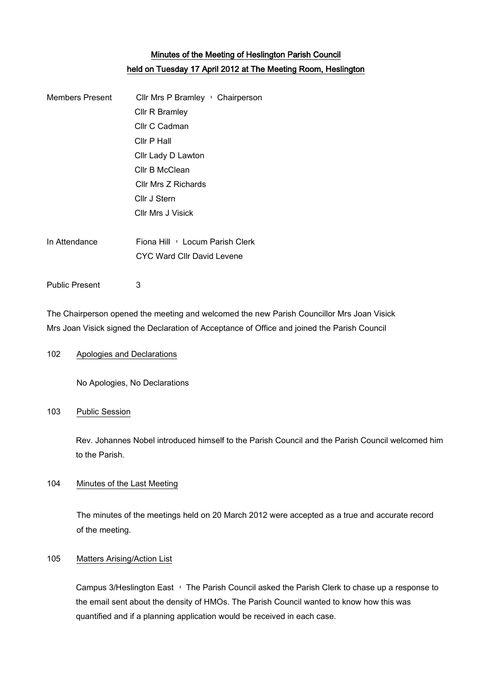# Minutes of the Meeting of Heslington Parish Council held on Tuesday 17 April 2012 at The Meeting Room, Heslington

| <b>Members Present</b> | Cllr Mrs P Bramley : Chairperson |
|------------------------|----------------------------------|
|                        | Cllr R Bramley                   |
|                        | Cllr C Cadman                    |
|                        | Cllr P Hall                      |
|                        | Cllr Lady D Lawton               |
|                        | Cllr B McClean                   |
|                        | Cllr Mrs Z Richards              |
|                        | Cllr J Stern                     |
|                        | Cllr Mrs J Visick                |
|                        |                                  |
| In Attendance          | Fiona Hill Locum Parish Clerk    |
|                        | CYC Ward Cllr David Levene       |
| <b>Public Present</b>  | 3                                |
|                        |                                  |

The Chairperson opened the meeting and welcomed the new Parish Councillor Mrs Joan Visick Mrs Joan Visick signed the Declaration of Acceptance of Office and joined the Parish Council

# 102 Apologies and Declarations

No Apologies, No Declarations

# 103 Public Session

Rev. Johannes Nobel introduced himself to the Parish Council and the Parish Council welcomed him to the Parish.

# 104 Minutes of the Last Meeting

The minutes of the meetings held on 20 March 2012 were accepted as a true and accurate record of the meeting.

# 105 Matters Arising/Action List

Campus 3/Heslington East – The Parish Council asked the Parish Clerk to chase up a response to the email sent about the density of HMOs. The Parish Council wanted to know how this was quantified and if a planning application would be received in each case.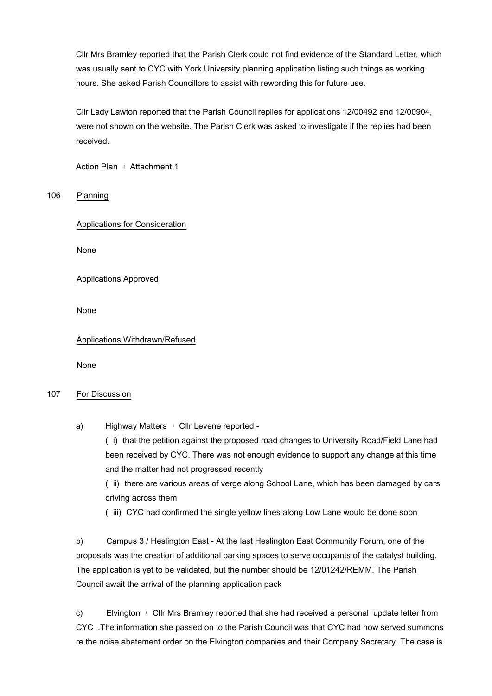Cllr Mrs Bramley reported that the Parish Clerk could not find evidence of the Standard Letter, which was usually sent to CYC with York University planning application listing such things as working hours. She asked Parish Councillors to assist with rewording this for future use.

Cllr Lady Lawton reported that the Parish Council replies for applications 12/00492 and 12/00904, were not shown on the website. The Parish Clerk was asked to investigate if the replies had been received.

Action Plan · Attachment 1

106 Planning

Applications for Consideration

None

Applications Approved

None

Applications Withdrawn/Refused

None

## 107 For Discussion

a) Highway Matters • Cllr Levene reported -

(i) that the petition against the proposed road changes to University Road/Field Lane had been received by CYC. There was not enough evidence to support any change at this time and the matter had not progressed recently

(ii) there are various areas of verge along School Lane, which has been damaged by cars driving across them

(iii)CYC had confirmed the single yellow lines along Low Lane would be done soon

b) Campus 3 / Heslington East - At the last Heslington East Community Forum, one of the proposals was the creation of additional parking spaces to serve occupants of the catalyst building. The application is yet to be validated, but the number should be 12/01242/REMM. The Parish Council await the arrival of the planning application pack

c) Elvington – Cllr Mrs Bramley reported that she had received a personal update letter from CYC .The information she passed on to the Parish Council was that CYC had now served summons re the noise abatement order on the Elvington companies and their Company Secretary. The case is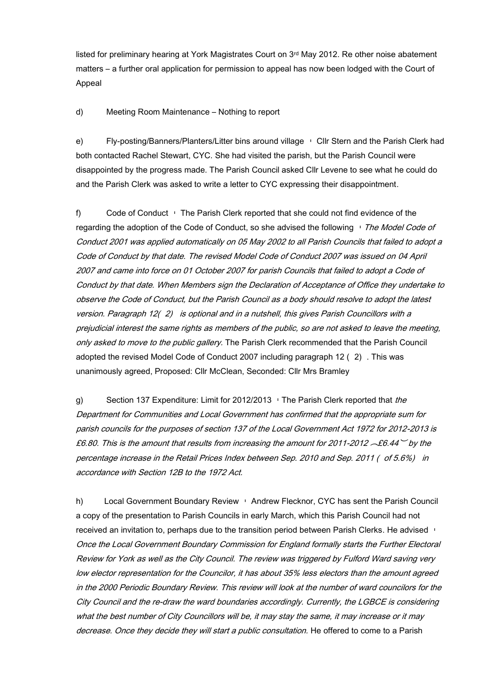listed for preliminary hearing at York Magistrates Court on 3<sup>rd</sup> May 2012. Re other noise abatement matters – a further oral application for permission to appeal has now been lodged with the Court of Appeal

d) Meeting Room Maintenance – Nothing to report

e) Fly-posting/Banners/Planters/Litter bins around village – Cllr Stern and the Parish Clerk had both contacted Rachel Stewart, CYC. She had visited the parish, but the Parish Council were disappointed by the progress made. The Parish Council asked Cllr Levene to see what he could do and the Parish Clerk was asked to write a letter to CYC expressing their disappointment.

f) Code of Conduct – The Parish Clerk reported that she could not find evidence of the regarding the adoption of the Code of Conduct, so she advised the following  $\overline{\phantom{a}}$  The Model Code of Conduct 2001 was applied automatically on 05 May 2002 to all Parish Councils that failed to adopt a Code of Conduct by that date. The revised Model Code of Conduct 2007 was issued on 04 April 2007 and came into force on 01 October 2007 for parish Councils that failed to adopt a Code of Conduct by that date. When Members sign the Declaration of Acceptance of Office they undertake to observe the Code of Conduct, but the Parish Council as a body should resolve to adopt the latest version. Paragraph 12(2) is optional and in a nutshell, this gives Parish Councillors with a prejudicial interest the same rights as members of the public, so are not asked to leave the meeting, only asked to move to the public gallery. The Parish Clerk recommended that the Parish Council adopted the revised Model Code of Conduct 2007 including paragraph 12 (2). This was unanimously agreed, Proposed: Cllr McClean, Seconded: Cllr Mrs Bramley

g) Section 137 Expenditure: Limit for 2012/2013 G The Parish Clerk reported that the Department for Communities and Local Government has confirmed that the appropriate sum for parish councils for the purposes of section 137 of the Local Government Act 1972 for 2012-2013 is £6.80. This is the amount that results from increasing the amount for 2011-2012  $\mathcal{A}6.44$  by the percentage increase in the Retail Prices Index between Sep. 2010 and Sep. 2011 ( of 5.6%) in accordance with Section 12B to the 1972 Act.

h) Local Government Boundary Review  $\cdot$  Andrew Flecknor, CYC has sent the Parish Council a copy of the presentation to Parish Councils in early March, which this Parish Council had not received an invitation to, perhaps due to the transition period between Parish Clerks. He advised Once the Local Government Boundary Commission for England formally starts the Further Electoral Review for York as well as the City Council. The review was triggered by Fulford Ward saving very low elector representation for the Councilor, it has about 35% less electors than the amount agreed in the 2000 Periodic Boundary Review. This review will look at the number of ward councilors for the City Council and the re-draw the ward boundaries accordingly. Currently, the LGBCE is considering what the best number of City Councillors will be, it may stay the same, it may increase or it may decrease. Once they decide they will start a public consultation. He offered to come to a Parish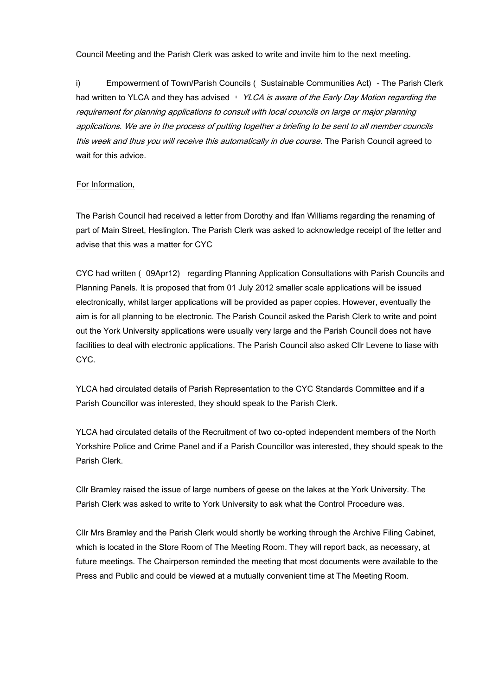Council Meeting and the Parish Clerk was asked to write and invite him to the next meeting.

i) Empowerment of Town/Parish Councils (Sustainable Communities Act) - The Parish Clerk had written to YLCA and they has advised  $\cdot$  YLCA is aware of the Early Day Motion regarding the requirement for planning applications to consult with local councils on large or major planning applications. We are in the process of putting together a briefing to be sent to all member councils this week and thus you will receive this automatically in due course. The Parish Council agreed to wait for this advice.

#### For Information,

The Parish Council had received a letter from Dorothy and Ifan Williams regarding the renaming of part of Main Street, Heslington. The Parish Clerk was asked to acknowledge receipt of the letter and advise that this was a matter for CYC

CYC had written (09Apr12) regarding Planning Application Consultations with Parish Councils and Planning Panels. It is proposed that from 01 July 2012 smaller scale applications will be issued electronically, whilst larger applications will be provided as paper copies. However, eventually the aim is for all planning to be electronic. The Parish Council asked the Parish Clerk to write and point out the York University applications were usually very large and the Parish Council does not have facilities to deal with electronic applications. The Parish Council also asked Cllr Levene to liase with CYC.

YLCA had circulated details of Parish Representation to the CYC Standards Committee and if a Parish Councillor was interested, they should speak to the Parish Clerk.

YLCA had circulated details of the Recruitment of two co-opted independent members of the North Yorkshire Police and Crime Panel and if a Parish Councillor was interested, they should speak to the Parish Clerk.

Cllr Bramley raised the issue of large numbers of geese on the lakes at the York University. The Parish Clerk was asked to write to York University to ask what the Control Procedure was.

Cllr Mrs Bramley and the Parish Clerk would shortly be working through the Archive Filing Cabinet, which is located in the Store Room of The Meeting Room. They will report back, as necessary, at future meetings. The Chairperson reminded the meeting that most documents were available to the Press and Public and could be viewed at a mutually convenient time at The Meeting Room.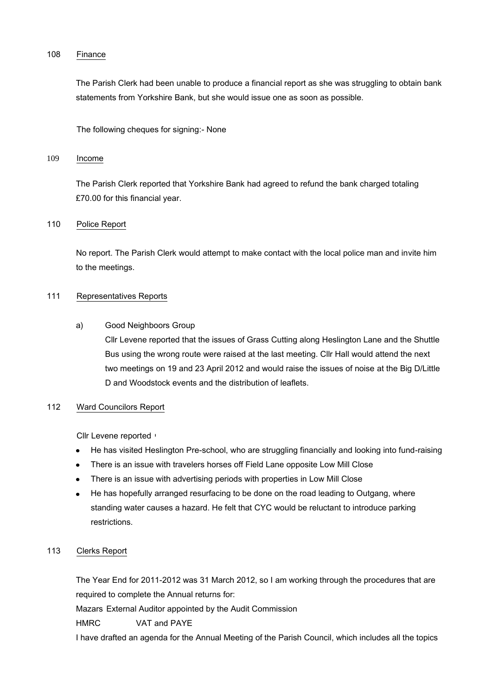#### 108 Finance

The Parish Clerk had been unable to produce a financial report as she was struggling to obtain bank statements from Yorkshire Bank, but she would issue one as soon as possible.

The following cheques for signing:- None

# 109 Income

The Parish Clerk reported that Yorkshire Bank had agreed to refund the bank charged totaling £70.00 for this financial year.

## 110 Police Report

No report. The Parish Clerk would attempt to make contact with the local police man and invite him to the meetings.

#### 111 Representatives Reports

## a) Good Neighboors Group

Cllr Levene reported that the issues of Grass Cutting along Heslington Lane and the Shuttle Bus using the wrong route were raised at the last meeting. Cllr Hall would attend the next two meetings on 19 and 23 April 2012 and would raise the issues of noise at the Big D/Little D and Woodstock events and the distribution of leaflets.

## 112 Ward Councilors Report

Cllr Levene reported–

- He has visited Heslington Pre-school, who are struggling financially and looking into fund-raising  $\bullet$
- There is an issue with travelers horses off Field Lane opposite Low Mill Close
- There is an issue with advertising periods with properties in Low Mill Close  $\bullet$
- He has hopefully arranged resurfacing to be done on the road leading to Outgang, where  $\bullet$ standing water causes a hazard. He felt that CYC would be reluctant to introduce parking restrictions.

## 113 Clerks Report

The Year End for 2011-2012 was 31 March 2012, so I am working through the procedures that are required to complete the Annual returns for:

Mazars External Auditor appointed by the Audit Commission

HMRC VAT and PAYE

I have drafted an agenda for the Annual Meeting of the Parish Council, which includes all the topics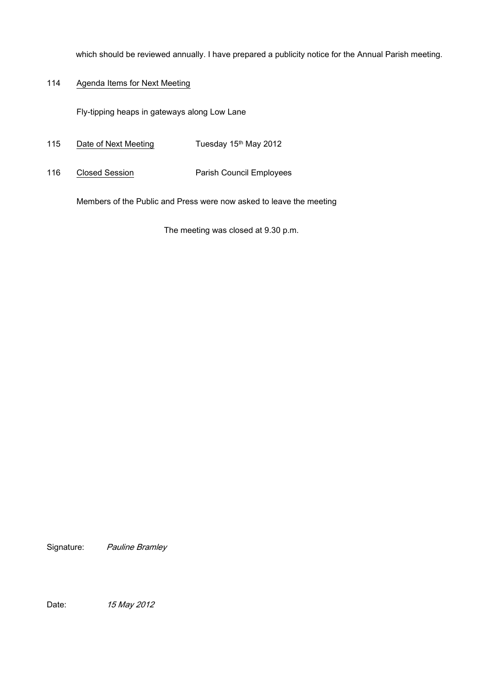which should be reviewed annually. I have prepared a publicity notice for the Annual Parish meeting.

# 114 Agenda Items for Next Meeting

Fly-tipping heaps in gateways along Low Lane

- 115 Date of Next Meeting Tuesday 15th May 2012
- 116 Closed Session Parish Council Employees

Members of the Public and Press were now asked to leave the meeting

The meeting was closed at 9.30 p.m.

Signature: Pauline Bramley

Date: 15 May 2012